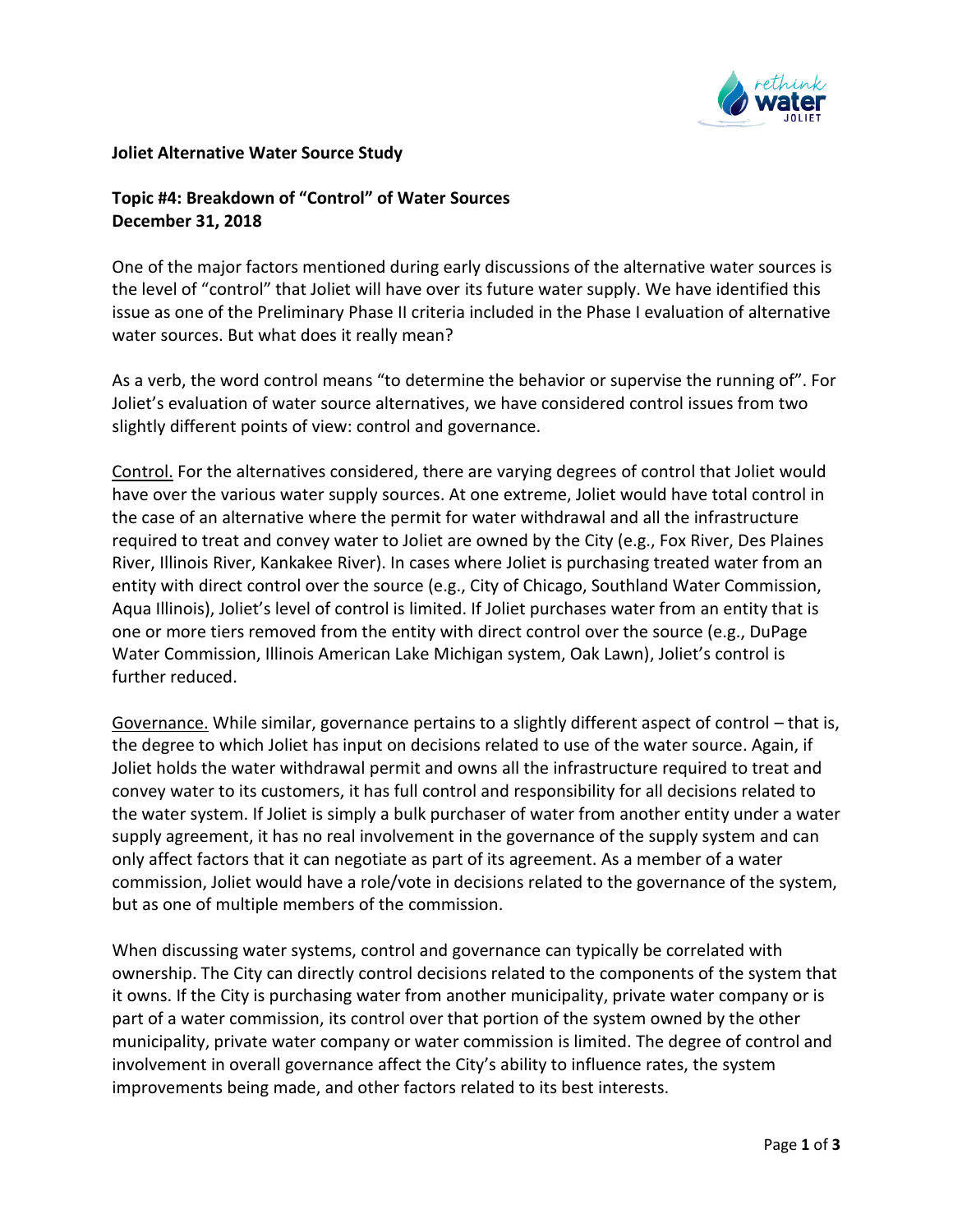

## **Joliet Alternative Water Source Study**

**Topic #4: Breakdown of "Control" of Water Sources December 31, 2018**

One of the major factors mentioned during early discussions of the alternative water sources is the level of "control" that Joliet will have over its future water supply. We have identified this issue as one of the Preliminary Phase II criteria included in the Phase I evaluation of alternative water sources. But what does it really mean?

As a verb, the word control means "to determine the behavior or supervise the running of". For Joliet's evaluation of water source alternatives, we have considered control issues from two slightly different points of view: control and governance.

Control. For the alternatives considered, there are varying degrees of control that Joliet would have over the various water supply sources. At one extreme, Joliet would have total control in the case of an alternative where the permit for water withdrawal and all the infrastructure required to treat and convey water to Joliet are owned by the City (e.g., Fox River, Des Plaines River, Illinois River, Kankakee River). In cases where Joliet is purchasing treated water from an entity with direct control over the source (e.g., City of Chicago, Southland Water Commission, Aqua Illinois), Joliet's level of control is limited. If Joliet purchases water from an entity that is one or more tiers removed from the entity with direct control over the source (e.g., DuPage Water Commission, Illinois American Lake Michigan system, Oak Lawn), Joliet's control is further reduced.

Governance. While similar, governance pertains to a slightly different aspect of control – that is, the degree to which Joliet has input on decisions related to use of the water source. Again, if Joliet holds the water withdrawal permit and owns all the infrastructure required to treat and convey water to its customers, it has full control and responsibility for all decisions related to the water system. If Joliet is simply a bulk purchaser of water from another entity under a water supply agreement, it has no real involvement in the governance of the supply system and can only affect factors that it can negotiate as part of its agreement. As a member of a water commission, Joliet would have a role/vote in decisions related to the governance of the system, but as one of multiple members of the commission.

When discussing water systems, control and governance can typically be correlated with ownership. The City can directly control decisions related to the components of the system that it owns. If the City is purchasing water from another municipality, private water company or is part of a water commission, its control over that portion of the system owned by the other municipality, private water company or water commission is limited. The degree of control and involvement in overall governance affect the City's ability to influence rates, the system improvements being made, and other factors related to its best interests.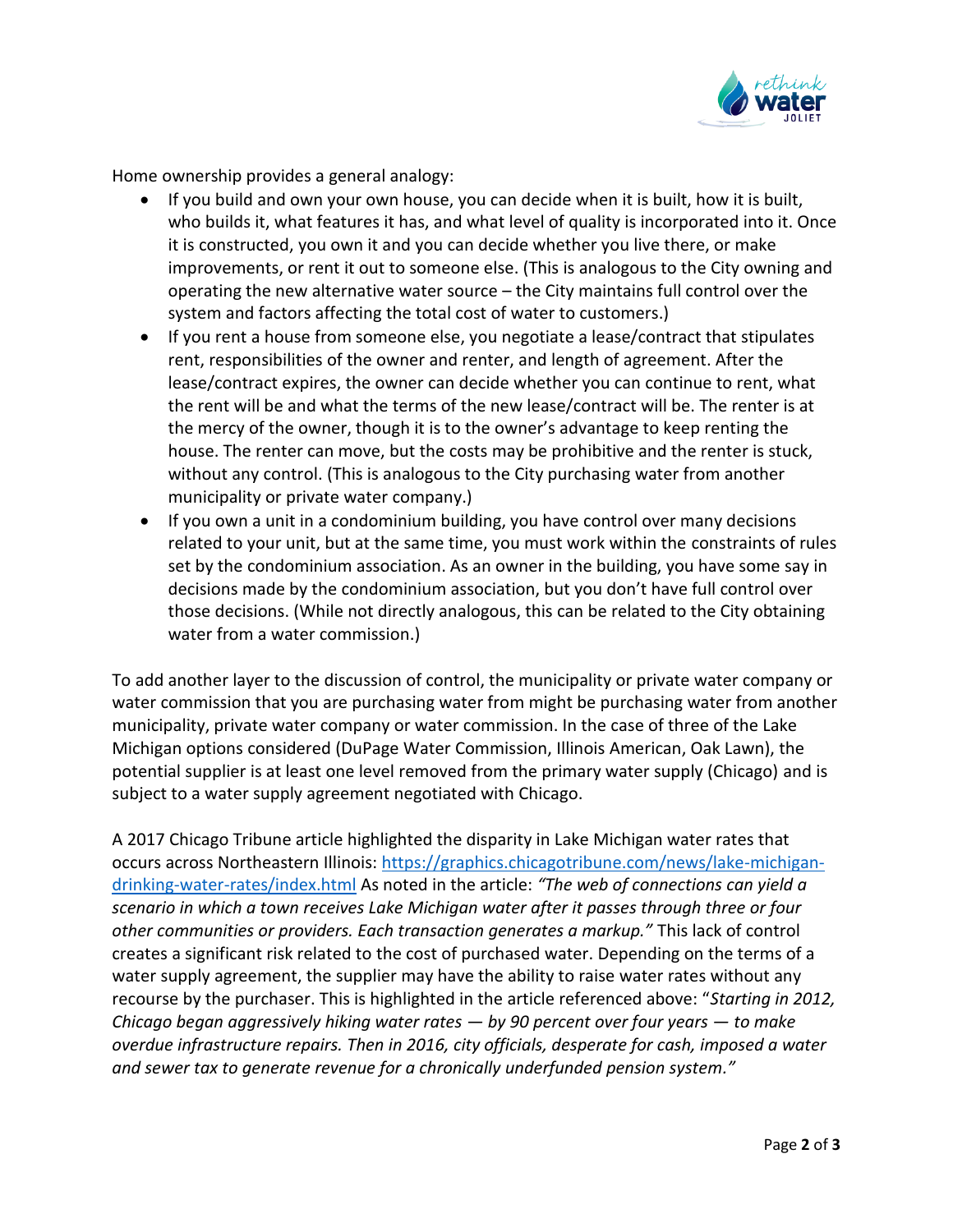

Home ownership provides a general analogy:

- If you build and own your own house, you can decide when it is built, how it is built, who builds it, what features it has, and what level of quality is incorporated into it. Once it is constructed, you own it and you can decide whether you live there, or make improvements, or rent it out to someone else. (This is analogous to the City owning and operating the new alternative water source – the City maintains full control over the system and factors affecting the total cost of water to customers.)
- If you rent a house from someone else, you negotiate a lease/contract that stipulates rent, responsibilities of the owner and renter, and length of agreement. After the lease/contract expires, the owner can decide whether you can continue to rent, what the rent will be and what the terms of the new lease/contract will be. The renter is at the mercy of the owner, though it is to the owner's advantage to keep renting the house. The renter can move, but the costs may be prohibitive and the renter is stuck, without any control. (This is analogous to the City purchasing water from another municipality or private water company.)
- If you own a unit in a condominium building, you have control over many decisions related to your unit, but at the same time, you must work within the constraints of rules set by the condominium association. As an owner in the building, you have some say in decisions made by the condominium association, but you don't have full control over those decisions. (While not directly analogous, this can be related to the City obtaining water from a water commission.)

To add another layer to the discussion of control, the municipality or private water company or water commission that you are purchasing water from might be purchasing water from another municipality, private water company or water commission. In the case of three of the Lake Michigan options considered (DuPage Water Commission, Illinois American, Oak Lawn), the potential supplier is at least one level removed from the primary water supply (Chicago) and is subject to a water supply agreement negotiated with Chicago.

A 2017 Chicago Tribune article highlighted the disparity in Lake Michigan water rates that occurs across Northeastern Illinois: [https://graphics.chicagotribune.com/news/lake-michigan](https://na01.safelinks.protection.outlook.com/?url=https%3A%2F%2Fgraphics.chicagotribune.com%2Fnews%2Flake-michigan-drinking-water-rates%2Findex.html&data=01%7C01%7Ctogrady%40cmtengr.com%7C87680c94ec5d4881347e08d66f594793%7Cb837cea6fc4a45b4bbd7c6d3b1216fdd%7C0&sdata=XxJHkFjmFoDuVbgteT3qygUOHtMATno0lnd%2BbfBWkHc%3D&reserved=0)[drinking-water-rates/index.html](https://na01.safelinks.protection.outlook.com/?url=https%3A%2F%2Fgraphics.chicagotribune.com%2Fnews%2Flake-michigan-drinking-water-rates%2Findex.html&data=01%7C01%7Ctogrady%40cmtengr.com%7C87680c94ec5d4881347e08d66f594793%7Cb837cea6fc4a45b4bbd7c6d3b1216fdd%7C0&sdata=XxJHkFjmFoDuVbgteT3qygUOHtMATno0lnd%2BbfBWkHc%3D&reserved=0) As noted in the article: *"The web of connections can yield a scenario in which a town receives Lake Michigan water after it passes through three or four other communities or providers. Each transaction generates a markup."* This lack of control creates a significant risk related to the cost of purchased water. Depending on the terms of a water supply agreement, the supplier may have the ability to raise water rates without any recourse by the purchaser. This is highlighted in the article referenced above: "*Starting in 2012, Chicago began aggressively hiking water rates — by 90 percent over four years — to make overdue infrastructure repairs. Then in 2016, city officials, desperate for cash, imposed a water and sewer tax to generate revenue for a chronically underfunded pension system."*